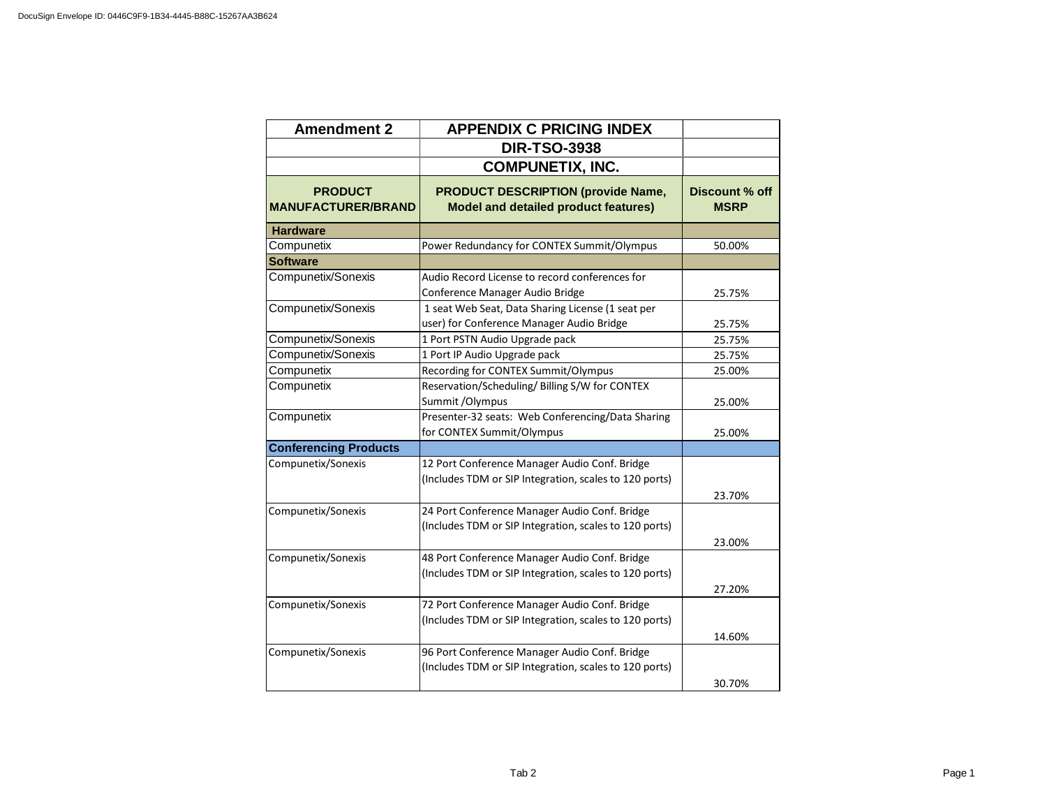| <b>Amendment 2</b>                          | <b>APPENDIX C PRICING INDEX</b>                                                                         |                               |
|---------------------------------------------|---------------------------------------------------------------------------------------------------------|-------------------------------|
|                                             | <b>DIR-TSO-3938</b>                                                                                     |                               |
|                                             | <b>COMPUNETIX, INC.</b>                                                                                 |                               |
| <b>PRODUCT</b><br><b>MANUFACTURER/BRAND</b> | <b>PRODUCT DESCRIPTION (provide Name,</b><br><b>Model and detailed product features)</b>                | Discount % off<br><b>MSRP</b> |
| <b>Hardware</b>                             |                                                                                                         |                               |
| Compunetix                                  | Power Redundancy for CONTEX Summit/Olympus                                                              | 50.00%                        |
| <b>Software</b>                             |                                                                                                         |                               |
| Compunetix/Sonexis                          | Audio Record License to record conferences for<br>Conference Manager Audio Bridge                       | 25.75%                        |
| Compunetix/Sonexis                          | 1 seat Web Seat, Data Sharing License (1 seat per<br>user) for Conference Manager Audio Bridge          | 25.75%                        |
| Compunetix/Sonexis                          | 1 Port PSTN Audio Upgrade pack                                                                          | 25.75%                        |
| Compunetix/Sonexis                          | 1 Port IP Audio Upgrade pack                                                                            | 25.75%                        |
| Compunetix                                  | Recording for CONTEX Summit/Olympus                                                                     | 25.00%                        |
| Compunetix                                  | Reservation/Scheduling/ Billing S/W for CONTEX<br>Summit / Olympus                                      | 25.00%                        |
| Compunetix                                  | Presenter-32 seats: Web Conferencing/Data Sharing<br>for CONTEX Summit/Olympus                          | 25.00%                        |
| <b>Conferencing Products</b>                |                                                                                                         |                               |
| Compunetix/Sonexis                          | 12 Port Conference Manager Audio Conf. Bridge<br>(Includes TDM or SIP Integration, scales to 120 ports) | 23.70%                        |
| Compunetix/Sonexis                          | 24 Port Conference Manager Audio Conf. Bridge<br>(Includes TDM or SIP Integration, scales to 120 ports) | 23.00%                        |
| Compunetix/Sonexis                          | 48 Port Conference Manager Audio Conf. Bridge<br>(Includes TDM or SIP Integration, scales to 120 ports) | 27.20%                        |
| Compunetix/Sonexis                          | 72 Port Conference Manager Audio Conf. Bridge<br>(Includes TDM or SIP Integration, scales to 120 ports) | 14.60%                        |
| Compunetix/Sonexis                          | 96 Port Conference Manager Audio Conf. Bridge<br>(Includes TDM or SIP Integration, scales to 120 ports) | 30.70%                        |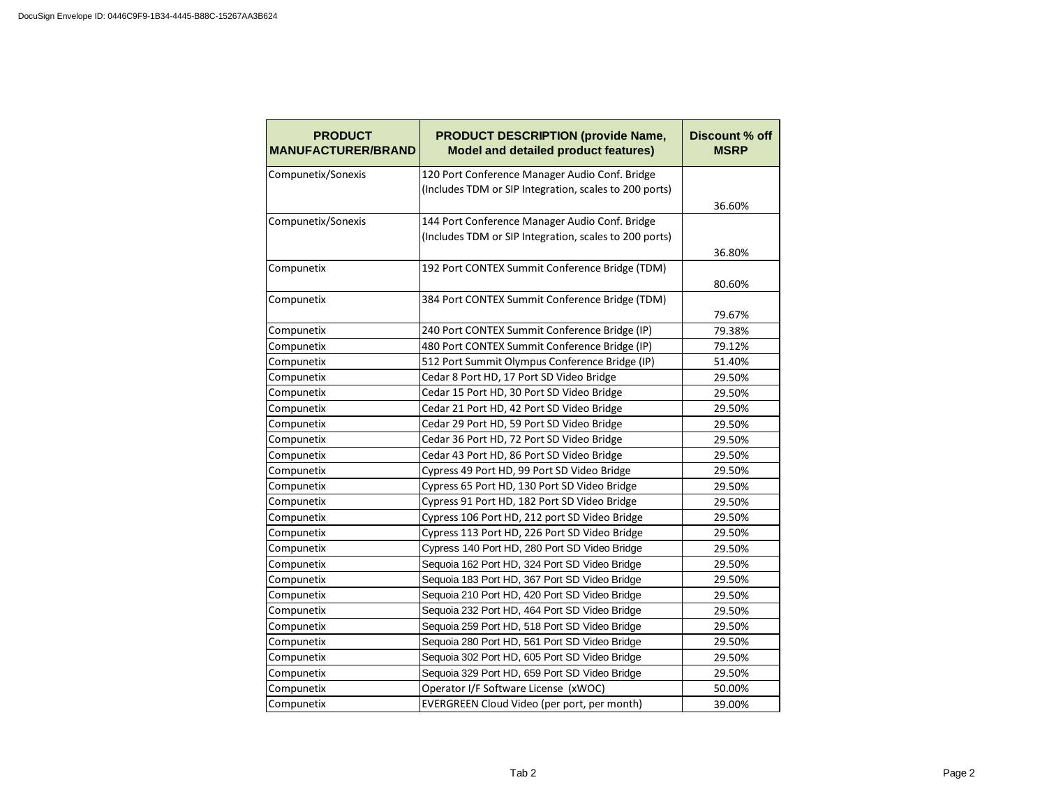| <b>PRODUCT</b><br><b>MANUFACTURER/BRAND</b> | <b>PRODUCT DESCRIPTION (provide Name,</b><br><b>Model and detailed product features)</b> | <b>Discount % off</b><br><b>MSRP</b> |
|---------------------------------------------|------------------------------------------------------------------------------------------|--------------------------------------|
| Compunetix/Sonexis                          | 120 Port Conference Manager Audio Conf. Bridge                                           |                                      |
|                                             | (Includes TDM or SIP Integration, scales to 200 ports)                                   |                                      |
|                                             |                                                                                          | 36.60%                               |
| Compunetix/Sonexis                          | 144 Port Conference Manager Audio Conf. Bridge                                           |                                      |
|                                             | (Includes TDM or SIP Integration, scales to 200 ports)                                   |                                      |
|                                             |                                                                                          | 36.80%                               |
| Compunetix                                  | 192 Port CONTEX Summit Conference Bridge (TDM)                                           |                                      |
|                                             |                                                                                          | 80.60%                               |
| Compunetix                                  | 384 Port CONTEX Summit Conference Bridge (TDM)                                           |                                      |
|                                             |                                                                                          | 79.67%                               |
| Compunetix                                  | 240 Port CONTEX Summit Conference Bridge (IP)                                            | 79.38%                               |
| Compunetix                                  | 480 Port CONTEX Summit Conference Bridge (IP)                                            | 79.12%                               |
| Compunetix                                  | 512 Port Summit Olympus Conference Bridge (IP)                                           | 51.40%                               |
| Compunetix                                  | Cedar 8 Port HD, 17 Port SD Video Bridge                                                 | 29.50%                               |
| Compunetix                                  | Cedar 15 Port HD, 30 Port SD Video Bridge                                                | 29.50%                               |
| Compunetix                                  | Cedar 21 Port HD, 42 Port SD Video Bridge                                                | 29.50%                               |
| Compunetix                                  | Cedar 29 Port HD, 59 Port SD Video Bridge                                                | 29.50%                               |
| Compunetix                                  | Cedar 36 Port HD, 72 Port SD Video Bridge                                                | 29.50%                               |
| Compunetix                                  | Cedar 43 Port HD, 86 Port SD Video Bridge                                                | 29.50%                               |
| Compunetix                                  | Cypress 49 Port HD, 99 Port SD Video Bridge                                              | 29.50%                               |
| Compunetix                                  | Cypress 65 Port HD, 130 Port SD Video Bridge                                             | 29.50%                               |
| Compunetix                                  | Cypress 91 Port HD, 182 Port SD Video Bridge                                             | 29.50%                               |
| Compunetix                                  | Cypress 106 Port HD, 212 port SD Video Bridge                                            | 29.50%                               |
| Compunetix                                  | Cypress 113 Port HD, 226 Port SD Video Bridge                                            | 29.50%                               |
| Compunetix                                  | Cypress 140 Port HD, 280 Port SD Video Bridge                                            | 29.50%                               |
| Compunetix                                  | Sequoia 162 Port HD, 324 Port SD Video Bridge                                            | 29.50%                               |
| Compunetix                                  | Sequoia 183 Port HD, 367 Port SD Video Bridge                                            | 29.50%                               |
| Compunetix                                  | Sequoia 210 Port HD, 420 Port SD Video Bridge                                            | 29.50%                               |
| Compunetix                                  | Sequoia 232 Port HD, 464 Port SD Video Bridge                                            | 29.50%                               |
| Compunetix                                  | Sequoia 259 Port HD, 518 Port SD Video Bridge                                            | 29.50%                               |
| Compunetix                                  | Sequoia 280 Port HD, 561 Port SD Video Bridge                                            | 29.50%                               |
| Compunetix                                  | Sequoia 302 Port HD, 605 Port SD Video Bridge                                            | 29.50%                               |
| Compunetix                                  | Sequoia 329 Port HD, 659 Port SD Video Bridge                                            | 29.50%                               |
| Compunetix                                  | Operator I/F Software License (xWOC)                                                     | 50.00%                               |
| Compunetix                                  | EVERGREEN Cloud Video (per port, per month)                                              | 39.00%                               |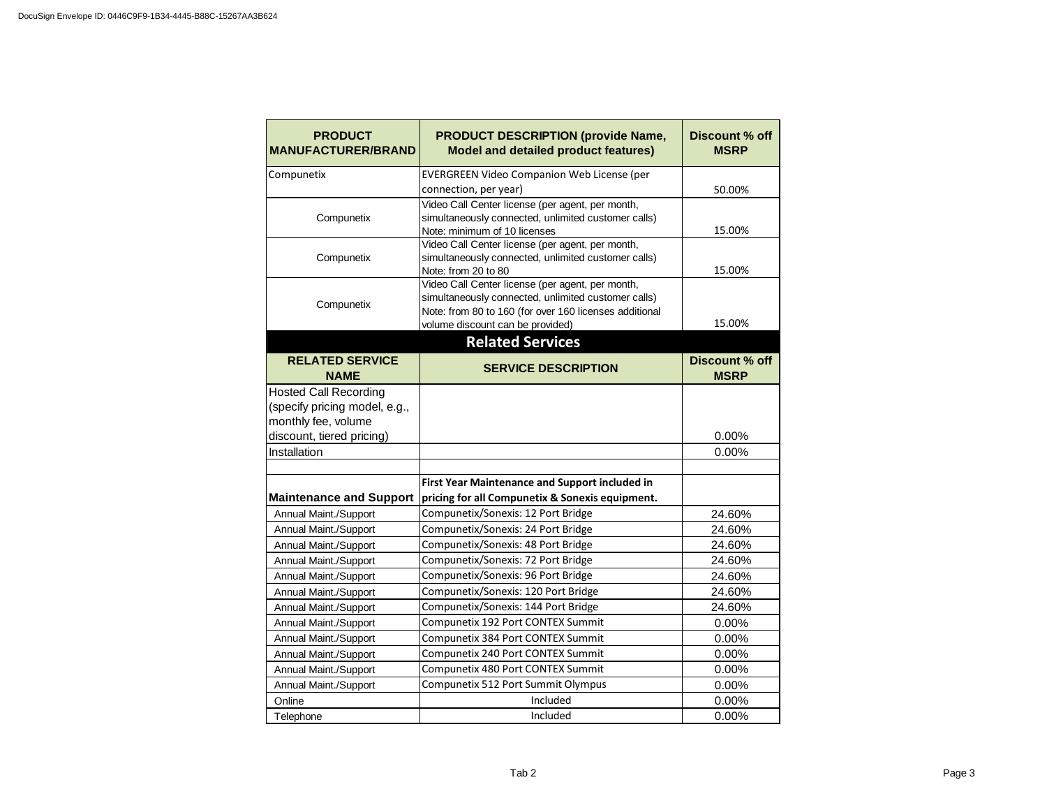| <b>PRODUCT</b><br><b>MANUFACTURER/BRAND</b> | <b>PRODUCT DESCRIPTION (provide Name,</b><br><b>Model and detailed product features)</b>                                                                                                              | Discount % off<br><b>MSRP</b> |
|---------------------------------------------|-------------------------------------------------------------------------------------------------------------------------------------------------------------------------------------------------------|-------------------------------|
| Compunetix                                  | EVERGREEN Video Companion Web License (per                                                                                                                                                            |                               |
|                                             | connection, per year)                                                                                                                                                                                 | 50.00%                        |
| Compunetix                                  | Video Call Center license (per agent, per month,<br>simultaneously connected, unlimited customer calls)<br>Note: minimum of 10 licenses                                                               | 15.00%                        |
| Compunetix                                  | Video Call Center license (per agent, per month,<br>simultaneously connected, unlimited customer calls)<br>Note: from 20 to 80                                                                        | 15.00%                        |
| Compunetix                                  | Video Call Center license (per agent, per month,<br>simultaneously connected, unlimited customer calls)<br>Note: from 80 to 160 (for over 160 licenses additional<br>volume discount can be provided) | 15.00%                        |
|                                             | <b>Related Services</b>                                                                                                                                                                               |                               |
| <b>RELATED SERVICE</b><br><b>NAME</b>       | <b>SERVICE DESCRIPTION</b>                                                                                                                                                                            | Discount % off<br><b>MSRP</b> |
| <b>Hosted Call Recording</b>                |                                                                                                                                                                                                       |                               |
| (specify pricing model, e.g.,               |                                                                                                                                                                                                       |                               |
| monthly fee, volume                         |                                                                                                                                                                                                       |                               |
| discount, tiered pricing)                   |                                                                                                                                                                                                       | 0.00%                         |
| Installation                                |                                                                                                                                                                                                       | 0.00%                         |
|                                             |                                                                                                                                                                                                       |                               |
|                                             | <b>First Year Maintenance and Support included in</b>                                                                                                                                                 |                               |
| <b>Maintenance and Support</b>              | pricing for all Compunetix & Sonexis equipment.                                                                                                                                                       |                               |
| Annual Maint./Support                       | Compunetix/Sonexis: 12 Port Bridge                                                                                                                                                                    | 24.60%                        |
| Annual Maint./Support                       | Compunetix/Sonexis: 24 Port Bridge                                                                                                                                                                    | 24.60%                        |
| Annual Maint./Support                       | Compunetix/Sonexis: 48 Port Bridge                                                                                                                                                                    | 24.60%                        |
| Annual Maint./Support                       | Compunetix/Sonexis: 72 Port Bridge                                                                                                                                                                    | 24.60%                        |
| Annual Maint./Support                       | Compunetix/Sonexis: 96 Port Bridge                                                                                                                                                                    | 24.60%                        |
| Annual Maint./Support                       | Compunetix/Sonexis: 120 Port Bridge                                                                                                                                                                   | 24.60%                        |
| Annual Maint./Support                       | Compunetix/Sonexis: 144 Port Bridge                                                                                                                                                                   | 24.60%                        |
| Annual Maint./Support                       | Compunetix 192 Port CONTEX Summit                                                                                                                                                                     | 0.00%                         |
| Annual Maint./Support                       | Compunetix 384 Port CONTEX Summit                                                                                                                                                                     | 0.00%                         |
| Annual Maint./Support                       | Compunetix 240 Port CONTEX Summit                                                                                                                                                                     | 0.00%                         |
| Annual Maint./Support                       | Compunetix 480 Port CONTEX Summit                                                                                                                                                                     | 0.00%                         |
| Annual Maint./Support                       | Compunetix 512 Port Summit Olympus                                                                                                                                                                    | 0.00%                         |
| Online                                      | Included                                                                                                                                                                                              | 0.00%                         |
| Telephone                                   | Included                                                                                                                                                                                              | 0.00%                         |